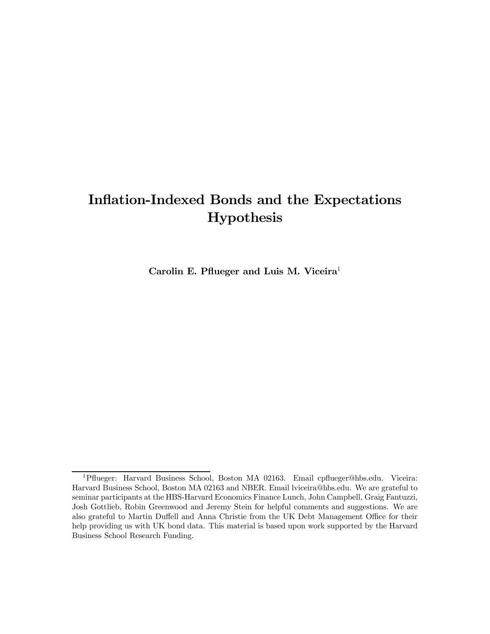# Inflation-Indexed Bonds and the Expectations Hypothesis

Carolin E. Pflueger and Luis M. Viceira<sup>1</sup>

<sup>1</sup>Pflueger: Harvard Business School, Boston MA 02163. Email cpflueger@hbs.edu. Viceira: Harvard Business School, Boston MA 02163 and NBER. Email lviceira@hbs.edu. We are grateful to seminar participants at the HBS-Harvard Economics Finance Lunch, John Campbell, Graig Fantuzzi, Josh Gottlieb, Robin Greenwood and Jeremy Stein for helpful comments and suggestions. We are also grateful to Martin Duffell and Anna Christie from the UK Debt Management Office for their help providing us with UK bond data. This material is based upon work supported by the Harvard Business School Research Funding.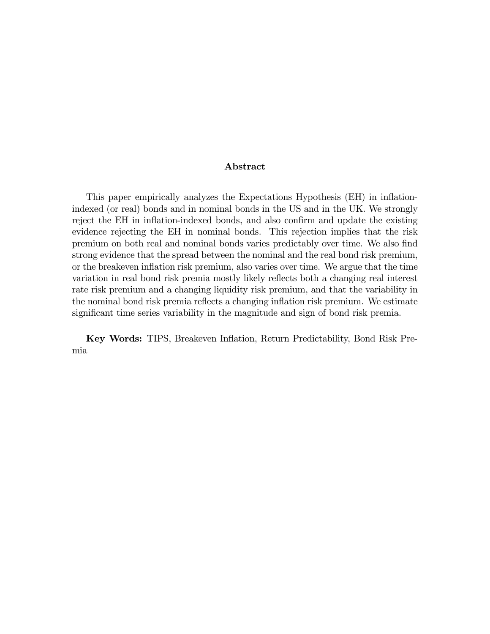#### Abstract

This paper empirically analyzes the Expectations Hypothesis (EH) in inflationindexed (or real) bonds and in nominal bonds in the US and in the UK. We strongly reject the EH in inflation-indexed bonds, and also confirm and update the existing evidence rejecting the EH in nominal bonds. This rejection implies that the risk premium on both real and nominal bonds varies predictably over time. We also find strong evidence that the spread between the nominal and the real bond risk premium, or the breakeven inflation risk premium, also varies over time. We argue that the time variation in real bond risk premia mostly likely reflects both a changing real interest rate risk premium and a changing liquidity risk premium, and that the variability in the nominal bond risk premia reflects a changing inflation risk premium. We estimate significant time series variability in the magnitude and sign of bond risk premia.

Key Words: TIPS, Breakeven Inflation, Return Predictability, Bond Risk Premia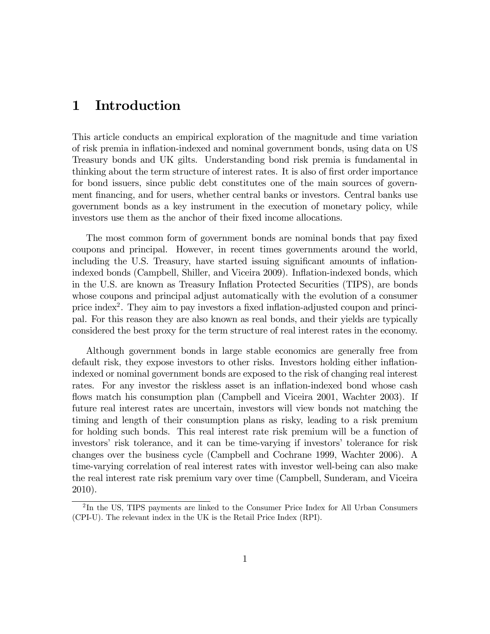## 1 Introduction

This article conducts an empirical exploration of the magnitude and time variation of risk premia in inflation-indexed and nominal government bonds, using data on US Treasury bonds and UK gilts. Understanding bond risk premia is fundamental in thinking about the term structure of interest rates. It is also of first order importance for bond issuers, since public debt constitutes one of the main sources of government financing, and for users, whether central banks or investors. Central banks use government bonds as a key instrument in the execution of monetary policy, while investors use them as the anchor of their fixed income allocations.

The most common form of government bonds are nominal bonds that pay fixed coupons and principal. However, in recent times governments around the world, including the U.S. Treasury, have started issuing significant amounts of inflationindexed bonds (Campbell, Shiller, and Viceira 2009). Inflation-indexed bonds, which in the U.S. are known as Treasury Inflation Protected Securities (TIPS), are bonds whose coupons and principal adjust automatically with the evolution of a consumer price index2. They aim to pay investors a fixed inflation-adjusted coupon and principal. For this reason they are also known as real bonds, and their yields are typically considered the best proxy for the term structure of real interest rates in the economy.

Although government bonds in large stable economics are generally free from default risk, they expose investors to other risks. Investors holding either inflationindexed or nominal government bonds are exposed to the risk of changing real interest rates. For any investor the riskless asset is an inflation-indexed bond whose cash flows match his consumption plan (Campbell and Viceira 2001, Wachter 2003). If future real interest rates are uncertain, investors will view bonds not matching the timing and length of their consumption plans as risky, leading to a risk premium for holding such bonds. This real interest rate risk premium will be a function of investors' risk tolerance, and it can be time-varying if investors' tolerance for risk changes over the business cycle (Campbell and Cochrane 1999, Wachter 2006). A time-varying correlation of real interest rates with investor well-being can also make the real interest rate risk premium vary over time (Campbell, Sunderam, and Viceira 2010).

<sup>2</sup> In the US, TIPS payments are linked to the Consumer Price Index for All Urban Consumers (CPI-U). The relevant index in the UK is the Retail Price Index (RPI).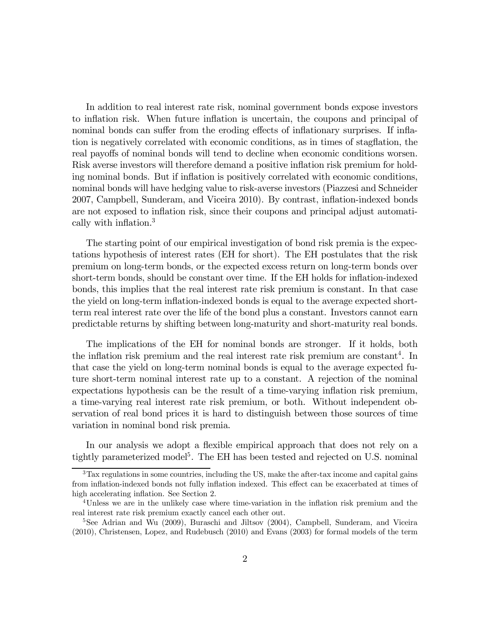In addition to real interest rate risk, nominal government bonds expose investors to inflation risk. When future inflation is uncertain, the coupons and principal of nominal bonds can suffer from the eroding effects of inflationary surprises. If inflation is negatively correlated with economic conditions, as in times of stagflation, the real payoffs of nominal bonds will tend to decline when economic conditions worsen. Risk averse investors will therefore demand a positive inflation risk premium for holding nominal bonds. But if inflation is positively correlated with economic conditions, nominal bonds will have hedging value to risk-averse investors (Piazzesi and Schneider 2007, Campbell, Sunderam, and Viceira 2010). By contrast, inflation-indexed bonds are not exposed to inflation risk, since their coupons and principal adjust automatically with inflation.<sup>3</sup>

The starting point of our empirical investigation of bond risk premia is the expectations hypothesis of interest rates (EH for short). The EH postulates that the risk premium on long-term bonds, or the expected excess return on long-term bonds over short-term bonds, should be constant over time. If the EH holds for inflation-indexed bonds, this implies that the real interest rate risk premium is constant. In that case the yield on long-term inflation-indexed bonds is equal to the average expected shortterm real interest rate over the life of the bond plus a constant. Investors cannot earn predictable returns by shifting between long-maturity and short-maturity real bonds.

The implications of the EH for nominal bonds are stronger. If it holds, both the inflation risk premium and the real interest rate risk premium are constant<sup>4</sup>. In that case the yield on long-term nominal bonds is equal to the average expected future short-term nominal interest rate up to a constant. A rejection of the nominal expectations hypothesis can be the result of a time-varying inflation risk premium, a time-varying real interest rate risk premium, or both. Without independent observation of real bond prices it is hard to distinguish between those sources of time variation in nominal bond risk premia.

In our analysis we adopt a flexible empirical approach that does not rely on a tightly parameterized model<sup>5</sup>. The EH has been tested and rejected on U.S. nominal

<sup>3</sup>Tax regulations in some countries, including the US, make the after-tax income and capital gains from inflation-indexed bonds not fully inflation indexed. This effect can be exacerbated at times of high accelerating inflation. See Section 2.

<sup>4</sup>Unless we are in the unlikely case where time-variation in the inflation risk premium and the real interest rate risk premium exactly cancel each other out.

<sup>&</sup>lt;sup>5</sup>See Adrian and Wu (2009), Buraschi and Jiltsov (2004), Campbell, Sunderam, and Viceira (2010), Christensen, Lopez, and Rudebusch (2010) and Evans (2003) for formal models of the term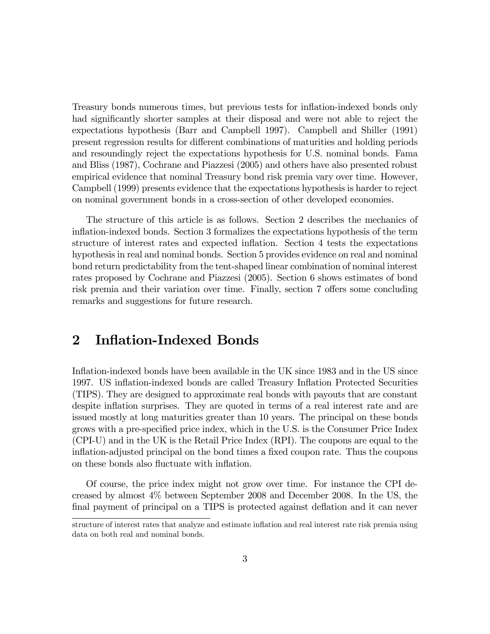Treasury bonds numerous times, but previous tests for inflation-indexed bonds only had significantly shorter samples at their disposal and were not able to reject the expectations hypothesis (Barr and Campbell 1997). Campbell and Shiller (1991) present regression results for different combinations of maturities and holding periods and resoundingly reject the expectations hypothesis for U.S. nominal bonds. Fama and Bliss (1987), Cochrane and Piazzesi (2005) and others have also presented robust empirical evidence that nominal Treasury bond risk premia vary over time. However, Campbell (1999) presents evidence that the expectations hypothesis is harder to reject on nominal government bonds in a cross-section of other developed economies.

The structure of this article is as follows. Section 2 describes the mechanics of inflation-indexed bonds. Section 3 formalizes the expectations hypothesis of the term structure of interest rates and expected inflation. Section 4 tests the expectations hypothesis in real and nominal bonds. Section 5 provides evidence on real and nominal bond return predictability from the tent-shaped linear combination of nominal interest rates proposed by Cochrane and Piazzesi (2005). Section 6 shows estimates of bond risk premia and their variation over time. Finally, section 7 offers some concluding remarks and suggestions for future research.

## 2 Inflation-Indexed Bonds

Inflation-indexed bonds have been available in the UK since 1983 and in the US since 1997. US inflation-indexed bonds are called Treasury Inflation Protected Securities (TIPS). They are designed to approximate real bonds with payouts that are constant despite inflation surprises. They are quoted in terms of a real interest rate and are issued mostly at long maturities greater than 10 years. The principal on these bonds grows with a pre-specified price index, which in the U.S. is the Consumer Price Index (CPI-U) and in the UK is the Retail Price Index (RPI). The coupons are equal to the inflation-adjusted principal on the bond times a fixed coupon rate. Thus the coupons on these bonds also fluctuate with inflation.

Of course, the price index might not grow over time. For instance the CPI decreased by almost 4% between September 2008 and December 2008. In the US, the final payment of principal on a TIPS is protected against deflation and it can never

structure of interest rates that analyze and estimate inflation and real interest rate risk premia using data on both real and nominal bonds.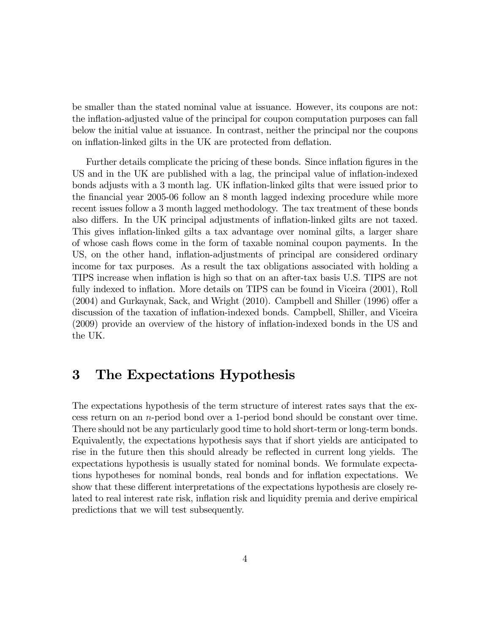be smaller than the stated nominal value at issuance. However, its coupons are not: the inflation-adjusted value of the principal for coupon computation purposes can fall below the initial value at issuance. In contrast, neither the principal nor the coupons on inflation-linked gilts in the UK are protected from deflation.

Further details complicate the pricing of these bonds. Since inflation figures in the US and in the UK are published with a lag, the principal value of inflation-indexed bonds adjusts with a 3 month lag. UK inflation-linked gilts that were issued prior to the financial year 2005-06 follow an 8 month lagged indexing procedure while more recent issues follow a 3 month lagged methodology. The tax treatment of these bonds also differs. In the UK principal adjustments of inflation-linked gilts are not taxed. This gives inflation-linked gilts a tax advantage over nominal gilts, a larger share of whose cash flows come in the form of taxable nominal coupon payments. In the US, on the other hand, inflation-adjustments of principal are considered ordinary income for tax purposes. As a result the tax obligations associated with holding a TIPS increase when inflation is high so that on an after-tax basis U.S. TIPS are not fully indexed to inflation. More details on TIPS can be found in Viceira (2001), Roll (2004) and Gurkaynak, Sack, and Wright (2010). Campbell and Shiller (1996) offer a discussion of the taxation of inflation-indexed bonds. Campbell, Shiller, and Viceira (2009) provide an overview of the history of inflation-indexed bonds in the US and the UK.

## 3 The Expectations Hypothesis

The expectations hypothesis of the term structure of interest rates says that the excess return on an  $n$ -period bond over a 1-period bond should be constant over time. There should not be any particularly good time to hold short-term or long-term bonds. Equivalently, the expectations hypothesis says that if short yields are anticipated to rise in the future then this should already be reflected in current long yields. The expectations hypothesis is usually stated for nominal bonds. We formulate expectations hypotheses for nominal bonds, real bonds and for inflation expectations. We show that these different interpretations of the expectations hypothesis are closely related to real interest rate risk, inflation risk and liquidity premia and derive empirical predictions that we will test subsequently.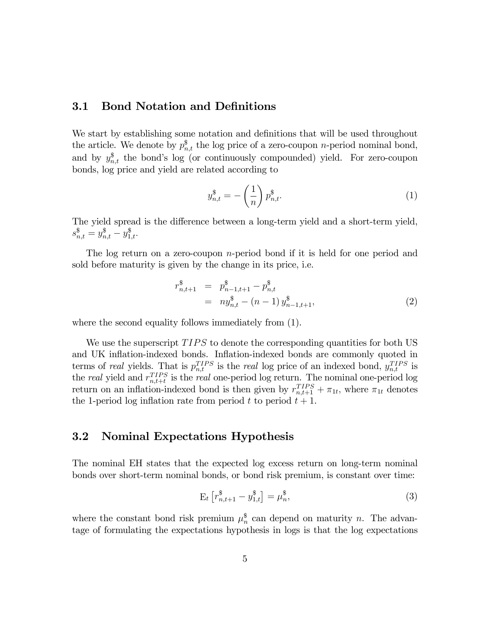### 3.1 Bond Notation and Definitions

We start by establishing some notation and definitions that will be used throughout the article. We denote by  $p_{n,t}^{\$}$  the log price of a zero-coupon *n*-period nominal bond, and by  $y_{n,t}^{\$}$  the bond's log (or continuously compounded) yield. For zero-coupon bonds, log price and yield are related according to

$$
y_{n,t}^{\$} = -\left(\frac{1}{n}\right)p_{n,t}^{\$}.
$$
 (1)

The yield spread is the difference between a long-term yield and a short-term yield,  $s_{n,t}^{\$} = y_{n,t}^{\$} - y_{1,t}^{\$}.$ 

The log return on a zero-coupon  $n$ -period bond if it is held for one period and sold before maturity is given by the change in its price, i.e.

$$
r_{n,t+1}^{\$} = p_{n-1,t+1}^{\$} - p_{n,t}^{\$} = ny_{n,t}^{\$} - (n-1) y_{n-1,t+1}^{\$},
$$
\n(2)

where the second equality follows immediately from (1).

We use the superscript  $TIPS$  to denote the corresponding quantities for both US and UK inflation-indexed bonds. Inflation-indexed bonds are commonly quoted in terms of real yields. That is  $p_{n,t}^{TIPS}$  is the real log price of an indexed bond,  $y_{n,t}^{TIPS}$  is the *real* yield and  $r_{n,t+t}^{TIPS}$  is the *real* one-period log return. The nominal one-period log return on an inflation-indexed bond is then given by  $r_{n,t+1}^{TIPS} + \pi_{1t}$ , where  $\pi_{1t}$  denotes the 1-period log inflation rate from period  $t$  to period  $t + 1$ .

#### 3.2 Nominal Expectations Hypothesis

The nominal EH states that the expected log excess return on long-term nominal bonds over short-term nominal bonds, or bond risk premium, is constant over time:

$$
E_t \left[ r_{n,t+1}^{\$} - y_{1,t}^{\$} \right] = \mu_n^{\$}, \tag{3}
$$

where the constant bond risk premium  $\mu_n^{\$}$  can depend on maturity n. The advantage of formulating the expectations hypothesis in logs is that the log expectations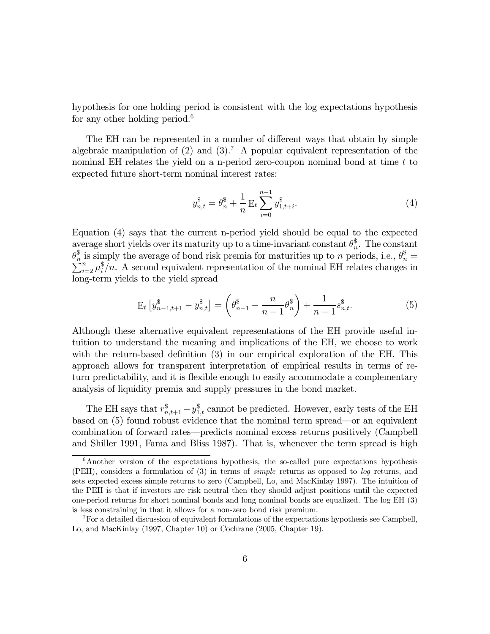hypothesis for one holding period is consistent with the log expectations hypothesis for any other holding period.<sup>6</sup>

The EH can be represented in a number of different ways that obtain by simple algebraic manipulation of  $(2)$  and  $(3)$ .<sup>7</sup> A popular equivalent representation of the nominal EH relates the yield on a n-period zero-coupon nominal bond at time  $t$  to expected future short-term nominal interest rates:

$$
y_{n,t}^{\$} = \theta_n^{\$} + \frac{1}{n} \mathop{\mathrm{E}}\limits_{i=0}^{n-1} y_{1,t+i}^{\$}.
$$
 (4)

Equation (4) says that the current n-period yield should be equal to the expected average short yields over its maturity up to a time-invariant constant  $\theta_n^{\$}$ . The constant  $\theta_n^{\$}$  is simply the average of bond risk premia for maturities up to *n* periods, i.e.,  $\theta_n^{\$} = \sum_{i=2}^n \mu_i^{\$}/n$ . A second equivalent representation of the nominal EH relates changes in long-term yields to the yield spread

$$
\mathbf{E}_{t}\left[y_{n-1,t+1}^{\$} - y_{n,t}^{\$}\right] = \left(\theta_{n-1}^{\$} - \frac{n}{n-1}\theta_{n}^{\$}\right) + \frac{1}{n-1}s_{n,t}^{\$}.
$$
 (5)

Although these alternative equivalent representations of the EH provide useful intuition to understand the meaning and implications of the EH, we choose to work with the return-based definition (3) in our empirical exploration of the EH. This approach allows for transparent interpretation of empirical results in terms of return predictability, and it is flexible enough to easily accommodate a complementary analysis of liquidity premia and supply pressures in the bond market.

The EH says that  $r_{n,t+1}^{\$} - y_{1,t}^{\$}$  cannot be predicted. However, early tests of the EH based on (5) found robust evidence that the nominal term spread–or an equivalent combination of forward rates–predicts nominal excess returns positively (Campbell and Shiller 1991, Fama and Bliss 1987). That is, whenever the term spread is high

<sup>&</sup>lt;sup>6</sup>Another version of the expectations hypothesis, the so-called pure expectations hypothesis (PEH), considers a formulation of (3) in terms of simple returns as opposed to log returns, and sets expected excess simple returns to zero (Campbell, Lo, and MacKinlay 1997). The intuition of the PEH is that if investors are risk neutral then they should adjust positions until the expected one-period returns for short nominal bonds and long nominal bonds are equalized. The log EH (3) is less constraining in that it allows for a non-zero bond risk premium.

 $^7$  For a detailed discussion of equivalent formulations of the expectations hypothesis see Campbell, Lo, and MacKinlay (1997, Chapter 10) or Cochrane (2005, Chapter 19).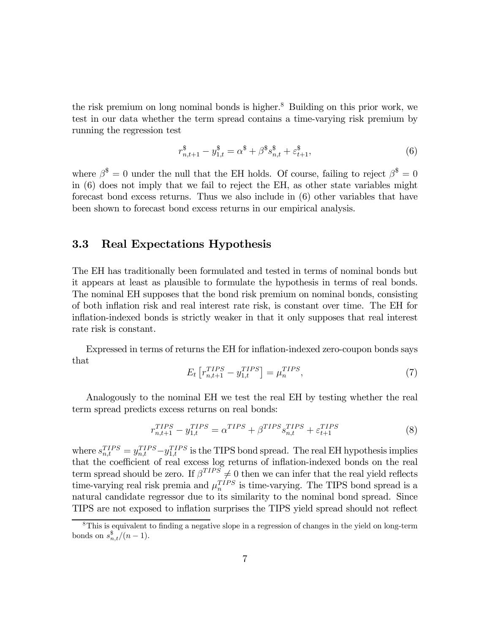the risk premium on long nominal bonds is higher.<sup>8</sup> Building on this prior work, we test in our data whether the term spread contains a time-varying risk premium by running the regression test

$$
r_{n,t+1}^{\$} - y_{1,t}^{\$} = \alpha^{\$} + \beta^{\$} s_{n,t}^{\$} + \varepsilon_{t+1}^{\$},\tag{6}
$$

where  $\beta^{\$} = 0$  under the null that the EH holds. Of course, failing to reject  $\beta^{\$} = 0$ in (6) does not imply that we fail to reject the EH, as other state variables might forecast bond excess returns. Thus we also include in (6) other variables that have been shown to forecast bond excess returns in our empirical analysis.

### 3.3 Real Expectations Hypothesis

The EH has traditionally been formulated and tested in terms of nominal bonds but it appears at least as plausible to formulate the hypothesis in terms of real bonds. The nominal EH supposes that the bond risk premium on nominal bonds, consisting of both inflation risk and real interest rate risk, is constant over time. The EH for inflation-indexed bonds is strictly weaker in that it only supposes that real interest rate risk is constant.

Expressed in terms of returns the EH for inflation-indexed zero-coupon bonds says that

$$
E_t \left[ r_{n,t+1}^{TIPS} - y_{1,t}^{TIPS} \right] = \mu_n^{TIPS},\tag{7}
$$

Analogously to the nominal EH we test the real EH by testing whether the real term spread predicts excess returns on real bonds:

$$
r_{n,t+1}^{TIPS} - y_{1,t}^{TIPS} = \alpha^{TIPS} + \beta^{TIPS} s_{n,t}^{TIPS} + \varepsilon_{t+1}^{TIPS}
$$
\n
$$
\tag{8}
$$

where  $s_{n,t}^{TIPS} = y_{n,t}^{TIPS} - y_{1,t}^{TIPS}$  is the TIPS bond spread. The real EH hypothesis implies that the coefficient of real excess log returns of inflation-indexed bonds on the real term spread should be zero. If  $\beta^{TIPS} \neq 0$  then we can infer that the real yield reflects time-varying real risk premia and  $\mu_n^{TIPS}$  is time-varying. The TIPS bond spread is a natural candidate regressor due to its similarity to the nominal bond spread. Since TIPS are not exposed to inflation surprises the TIPS yield spread should not reflect

 $8$ This is equivalent to finding a negative slope in a regression of changes in the yield on long-term bonds on  $s_{n,t}^{\$}/(n-1)$ .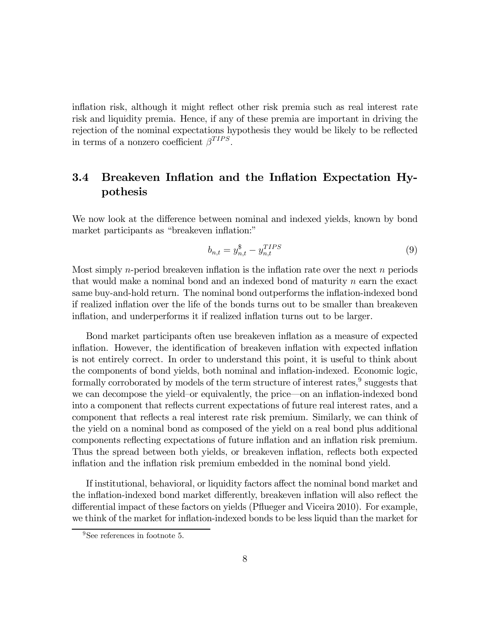inflation risk, although it might reflect other risk premia such as real interest rate risk and liquidity premia. Hence, if any of these premia are important in driving the rejection of the nominal expectations hypothesis they would be likely to be reflected in terms of a nonzero coefficient  $\beta^{TIPS}$ .

## 3.4 Breakeven Inflation and the Inflation Expectation Hypothesis

We now look at the difference between nominal and indexed yields, known by bond market participants as "breakeven inflation:"

$$
b_{n,t} = y_{n,t}^{\$} - y_{n,t}^{TIPS} \tag{9}
$$

Most simply *n*-period breakeven inflation is the inflation rate over the next  $n$  periods that would make a nominal bond and an indexed bond of maturity  $n$  earn the exact same buy-and-hold return. The nominal bond outperforms the inflation-indexed bond if realized inflation over the life of the bonds turns out to be smaller than breakeven inflation, and underperforms it if realized inflation turns out to be larger.

Bond market participants often use breakeven inflation as a measure of expected inflation. However, the identification of breakeven inflation with expected inflation is not entirely correct. In order to understand this point, it is useful to think about the components of bond yields, both nominal and inflation-indexed. Economic logic, formally corroborated by models of the term structure of interest rates,  $9$  suggests that we can decompose the yield—or equivalently, the price–on an inflation-indexed bond into a component that reflects current expectations of future real interest rates, and a component that reflects a real interest rate risk premium. Similarly, we can think of the yield on a nominal bond as composed of the yield on a real bond plus additional components reflecting expectations of future inflation and an inflation risk premium. Thus the spread between both yields, or breakeven inflation, reflects both expected inflation and the inflation risk premium embedded in the nominal bond yield.

If institutional, behavioral, or liquidity factors affect the nominal bond market and the inflation-indexed bond market differently, breakeven inflation will also reflect the differential impact of these factors on yields (Pflueger and Viceira 2010). For example, we think of the market for inflation-indexed bonds to be less liquid than the market for

<sup>&</sup>lt;sup>9</sup>See references in footnote 5.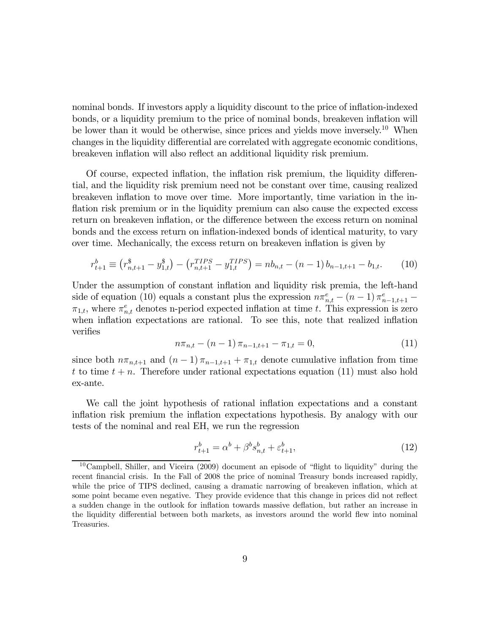nominal bonds. If investors apply a liquidity discount to the price of inflation-indexed bonds, or a liquidity premium to the price of nominal bonds, breakeven inflation will be lower than it would be otherwise, since prices and yields move inversely.<sup>10</sup> When changes in the liquidity differential are correlated with aggregate economic conditions, breakeven inflation will also reflect an additional liquidity risk premium.

Of course, expected inflation, the inflation risk premium, the liquidity differential, and the liquidity risk premium need not be constant over time, causing realized breakeven inflation to move over time. More importantly, time variation in the inflation risk premium or in the liquidity premium can also cause the expected excess return on breakeven inflation, or the difference between the excess return on nominal bonds and the excess return on inflation-indexed bonds of identical maturity, to vary over time. Mechanically, the excess return on breakeven inflation is given by

$$
r_{t+1}^b \equiv \left(r_{n,t+1}^s - y_{1,t}^s\right) - \left(r_{n,t+1}^{TIPS} - y_{1,t}^{TIPS}\right) = nb_{n,t} - (n-1)b_{n-1,t+1} - b_{1,t}.\tag{10}
$$

Under the assumption of constant inflation and liquidity risk premia, the left-hand side of equation (10) equals a constant plus the expression  $n\pi_{n,t}^e - (n-1)\pi_{n-1,t+1}^e$  $\pi_{1,t}$ , where  $\pi_{n,t}^e$  denotes n-period expected inflation at time t. This expression is zero when inflation expectations are rational. To see this, note that realized inflation verifies

$$
n\pi_{n,t} - (n-1)\pi_{n-1,t+1} - \pi_{1,t} = 0,\tag{11}
$$

since both  $n\pi_{n,t+1}$  and  $(n-1)\pi_{n-1,t+1} + \pi_{1,t}$  denote cumulative inflation from time t to time  $t + n$ . Therefore under rational expectations equation (11) must also hold ex-ante.

We call the joint hypothesis of rational inflation expectations and a constant inflation risk premium the inflation expectations hypothesis. By analogy with our tests of the nominal and real EH, we run the regression

$$
r_{t+1}^b = \alpha^b + \beta^b s_{n,t}^b + \varepsilon_{t+1}^b,
$$
\n(12)

<sup>&</sup>lt;sup>10</sup>Campbell, Shiller, and Viceira  $(2009)$  document an episode of "flight to liquidity" during the recent financial crisis. In the Fall of 2008 the price of nominal Treasury bonds increased rapidly, while the price of TIPS declined, causing a dramatic narrowing of breakeven inflation, which at some point became even negative. They provide evidence that this change in prices did not reflect a sudden change in the outlook for inflation towards massive deflation, but rather an increase in the liquidity differential between both markets, as investors around the world flew into nominal Treasuries.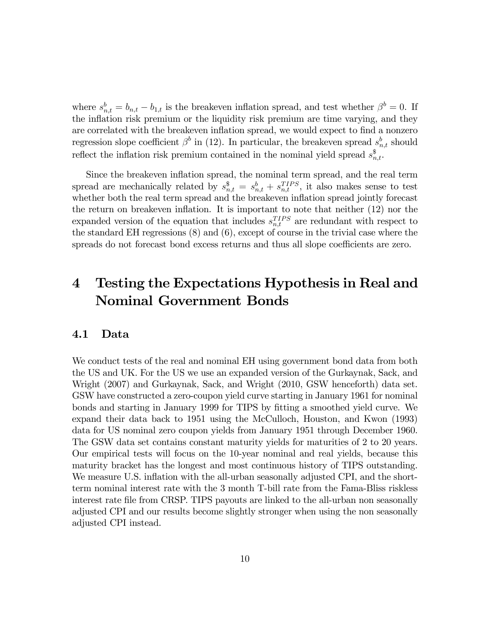where  $s_{n,t}^b = b_{n,t} - b_{1,t}$  is the breakeven inflation spread, and test whether  $\beta^b = 0$ . If the inflation risk premium or the liquidity risk premium are time varying, and they are correlated with the breakeven inflation spread, we would expect to find a nonzero regression slope coefficient  $\beta^b$  in (12). In particular, the breakeven spread  $s_{n,t}^b$  should reflect the inflation risk premium contained in the nominal yield spread  $s_{n,t}^{\$}$ .

Since the breakeven inflation spread, the nominal term spread, and the real term spread are mechanically related by  $s_{n,t}^{\$} = s_{n,t}^b + s_{n,t}^{TIPS}$ , it also makes sense to test whether both the real term spread and the breakeven inflation spread jointly forecast the return on breakeven inflation. It is important to note that neither (12) nor the expanded version of the equation that includes  $s_{n,t}^{TIPS}$  are redundant with respect to the standard EH regressions (8) and (6), except of course in the trivial case where the spreads do not forecast bond excess returns and thus all slope coefficients are zero.

# 4 Testing the Expectations Hypothesis in Real and Nominal Government Bonds

#### 4.1 Data

We conduct tests of the real and nominal EH using government bond data from both the US and UK. For the US we use an expanded version of the Gurkaynak, Sack, and Wright (2007) and Gurkaynak, Sack, and Wright (2010, GSW henceforth) data set. GSW have constructed a zero-coupon yield curve starting in January 1961 for nominal bonds and starting in January 1999 for TIPS by fitting a smoothed yield curve. We expand their data back to 1951 using the McCulloch, Houston, and Kwon (1993) data for US nominal zero coupon yields from January 1951 through December 1960. The GSW data set contains constant maturity yields for maturities of 2 to 20 years. Our empirical tests will focus on the 10-year nominal and real yields, because this maturity bracket has the longest and most continuous history of TIPS outstanding. We measure U.S. inflation with the all-urban seasonally adjusted CPI, and the shortterm nominal interest rate with the 3 month T-bill rate from the Fama-Bliss riskless interest rate file from CRSP. TIPS payouts are linked to the all-urban non seasonally adjusted CPI and our results become slightly stronger when using the non seasonally adjusted CPI instead.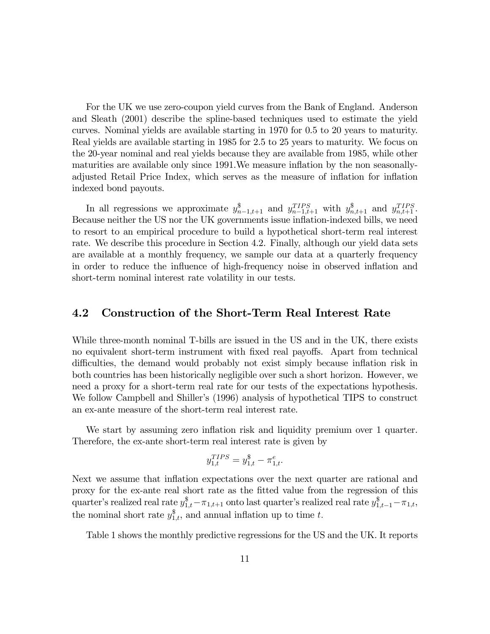For the UK we use zero-coupon yield curves from the Bank of England. Anderson and Sleath (2001) describe the spline-based techniques used to estimate the yield curves. Nominal yields are available starting in 1970 for 0.5 to 20 years to maturity. Real yields are available starting in 1985 for 2.5 to 25 years to maturity. We focus on the 20-year nominal and real yields because they are available from 1985, while other maturities are available only since 1991.We measure inflation by the non seasonallyadjusted Retail Price Index, which serves as the measure of inflation for inflation indexed bond payouts.

In all regressions we approximate  $y_{n-1,t+1}^{\$}$  and  $y_{n-1,t+1}^{TIPS}$  with  $y_{n,t+1}^{\$}$  and  $y_{n,t+1}^{TIPS}$ . Because neither the US nor the UK governments issue inflation-indexed bills, we need to resort to an empirical procedure to build a hypothetical short-term real interest rate. We describe this procedure in Section 4.2. Finally, although our yield data sets are available at a monthly frequency, we sample our data at a quarterly frequency in order to reduce the influence of high-frequency noise in observed inflation and short-term nominal interest rate volatility in our tests.

#### 4.2 Construction of the Short-Term Real Interest Rate

While three-month nominal T-bills are issued in the US and in the UK, there exists no equivalent short-term instrument with fixed real payoffs. Apart from technical difficulties, the demand would probably not exist simply because inflation risk in both countries has been historically negligible over such a short horizon. However, we need a proxy for a short-term real rate for our tests of the expectations hypothesis. We follow Campbell and Shiller's (1996) analysis of hypothetical TIPS to construct an ex-ante measure of the short-term real interest rate.

We start by assuming zero inflation risk and liquidity premium over 1 quarter. Therefore, the ex-ante short-term real interest rate is given by

$$
y_{1,t}^{TIPS} = y_{1,t}^{\$} - \pi_{1,t}^{e}.
$$

Next we assume that inflation expectations over the next quarter are rational and proxy for the ex-ante real short rate as the fitted value from the regression of this quarter's realized real rate  $y_{1,t}^{\$} - \pi_{1,t+1}$  onto last quarter's realized real rate  $y_{1,t-1}^{\$} - \pi_{1,t}$ , the nominal short rate  $y_{1,t}^{\$}$ , and annual inflation up to time t.

Table 1 shows the monthly predictive regressions for the US and the UK. It reports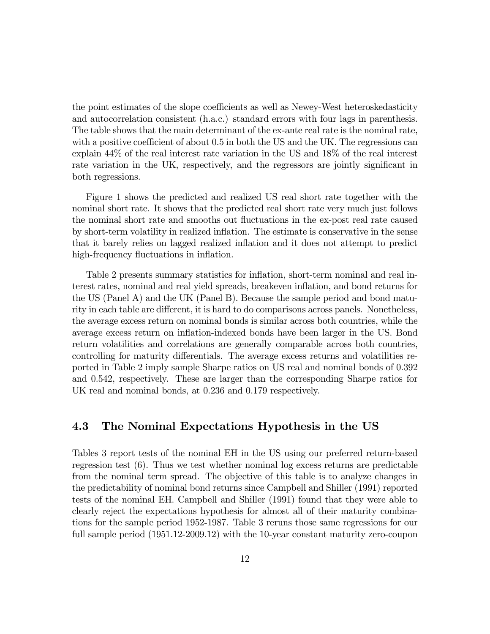the point estimates of the slope coefficients as well as Newey-West heteroskedasticity and autocorrelation consistent (h.a.c.) standard errors with four lags in parenthesis. The table shows that the main determinant of the ex-ante real rate is the nominal rate, with a positive coefficient of about 0.5 in both the US and the UK. The regressions can explain 44% of the real interest rate variation in the US and 18% of the real interest rate variation in the UK, respectively, and the regressors are jointly significant in both regressions.

Figure 1 shows the predicted and realized US real short rate together with the nominal short rate. It shows that the predicted real short rate very much just follows the nominal short rate and smooths out fluctuations in the ex-post real rate caused by short-term volatility in realized inflation. The estimate is conservative in the sense that it barely relies on lagged realized inflation and it does not attempt to predict high-frequency fluctuations in inflation.

Table 2 presents summary statistics for inflation, short-term nominal and real interest rates, nominal and real yield spreads, breakeven inflation, and bond returns for the US (Panel A) and the UK (Panel B). Because the sample period and bond maturity in each table are different, it is hard to do comparisons across panels. Nonetheless, the average excess return on nominal bonds is similar across both countries, while the average excess return on inflation-indexed bonds have been larger in the US. Bond return volatilities and correlations are generally comparable across both countries, controlling for maturity differentials. The average excess returns and volatilities reported in Table 2 imply sample Sharpe ratios on US real and nominal bonds of 0.392 and 0.542, respectively. These are larger than the corresponding Sharpe ratios for UK real and nominal bonds, at 0.236 and 0.179 respectively.

### 4.3 The Nominal Expectations Hypothesis in the US

Tables 3 report tests of the nominal EH in the US using our preferred return-based regression test (6). Thus we test whether nominal log excess returns are predictable from the nominal term spread. The objective of this table is to analyze changes in the predictability of nominal bond returns since Campbell and Shiller (1991) reported tests of the nominal EH. Campbell and Shiller (1991) found that they were able to clearly reject the expectations hypothesis for almost all of their maturity combinations for the sample period 1952-1987. Table 3 reruns those same regressions for our full sample period (1951.12-2009.12) with the 10-year constant maturity zero-coupon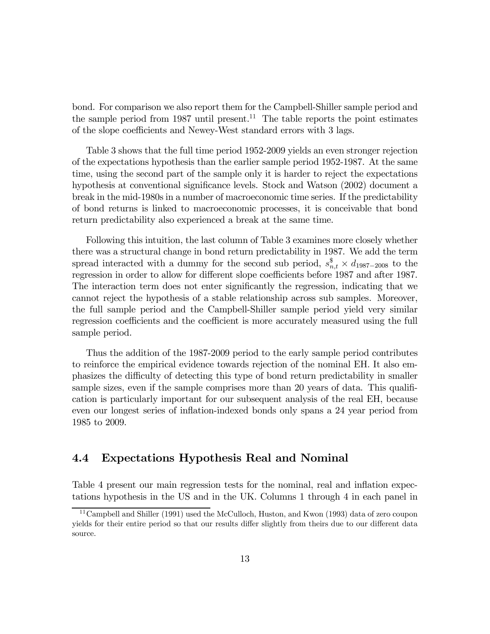bond. For comparison we also report them for the Campbell-Shiller sample period and the sample period from 1987 until present.<sup>11</sup> The table reports the point estimates of the slope coefficients and Newey-West standard errors with 3 lags.

Table 3 shows that the full time period 1952-2009 yields an even stronger rejection of the expectations hypothesis than the earlier sample period 1952-1987. At the same time, using the second part of the sample only it is harder to reject the expectations hypothesis at conventional significance levels. Stock and Watson (2002) document a break in the mid-1980s in a number of macroeconomic time series. If the predictability of bond returns is linked to macroeconomic processes, it is conceivable that bond return predictability also experienced a break at the same time.

Following this intuition, the last column of Table 3 examines more closely whether there was a structural change in bond return predictability in 1987. We add the term spread interacted with a dummy for the second sub period,  $s_{n,t}^{\$} \times d_{1987-2008}$  to the regression in order to allow for different slope coefficients before 1987 and after 1987. The interaction term does not enter significantly the regression, indicating that we cannot reject the hypothesis of a stable relationship across sub samples. Moreover, the full sample period and the Campbell-Shiller sample period yield very similar regression coefficients and the coefficient is more accurately measured using the full sample period.

Thus the addition of the 1987-2009 period to the early sample period contributes to reinforce the empirical evidence towards rejection of the nominal EH. It also emphasizes the difficulty of detecting this type of bond return predictability in smaller sample sizes, even if the sample comprises more than 20 years of data. This qualification is particularly important for our subsequent analysis of the real EH, because even our longest series of inflation-indexed bonds only spans a 24 year period from 1985 to 2009.

### 4.4 Expectations Hypothesis Real and Nominal

Table 4 present our main regression tests for the nominal, real and inflation expectations hypothesis in the US and in the UK. Columns 1 through 4 in each panel in

<sup>&</sup>lt;sup>11</sup> Campbell and Shiller (1991) used the McCulloch, Huston, and Kwon (1993) data of zero coupon yields for their entire period so that our results differ slightly from theirs due to our different data source.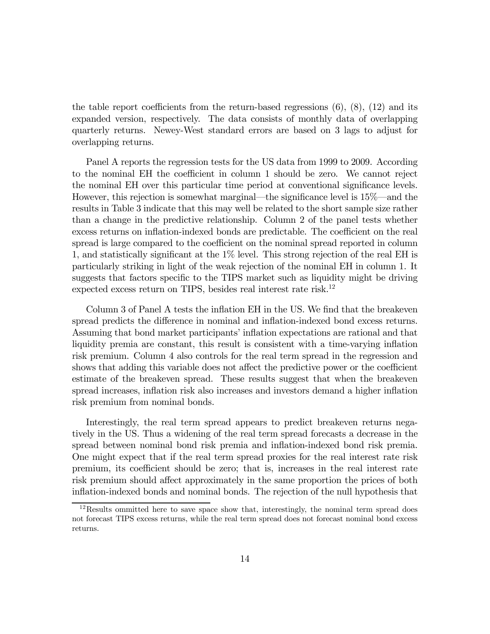the table report coefficients from the return-based regressions  $(6)$ ,  $(8)$ ,  $(12)$  and its expanded version, respectively. The data consists of monthly data of overlapping quarterly returns. Newey-West standard errors are based on 3 lags to adjust for overlapping returns.

Panel A reports the regression tests for the US data from 1999 to 2009. According to the nominal EH the coefficient in column 1 should be zero. We cannot reject the nominal EH over this particular time period at conventional significance levels. However, this rejection is somewhat marginal–the significance level is 15%–and the results in Table 3 indicate that this may well be related to the short sample size rather than a change in the predictive relationship. Column 2 of the panel tests whether excess returns on inflation-indexed bonds are predictable. The coefficient on the real spread is large compared to the coefficient on the nominal spread reported in column 1, and statistically significant at the 1% level. This strong rejection of the real EH is particularly striking in light of the weak rejection of the nominal EH in column 1. It suggests that factors specific to the TIPS market such as liquidity might be driving expected excess return on TIPS, besides real interest rate risk.12

Column 3 of Panel A tests the inflation EH in the US. We find that the breakeven spread predicts the difference in nominal and inflation-indexed bond excess returns. Assuming that bond market participants' inflation expectations are rational and that liquidity premia are constant, this result is consistent with a time-varying inflation risk premium. Column 4 also controls for the real term spread in the regression and shows that adding this variable does not affect the predictive power or the coefficient estimate of the breakeven spread. These results suggest that when the breakeven spread increases, inflation risk also increases and investors demand a higher inflation risk premium from nominal bonds.

Interestingly, the real term spread appears to predict breakeven returns negatively in the US. Thus a widening of the real term spread forecasts a decrease in the spread between nominal bond risk premia and inflation-indexed bond risk premia. One might expect that if the real term spread proxies for the real interest rate risk premium, its coefficient should be zero; that is, increases in the real interest rate risk premium should affect approximately in the same proportion the prices of both inflation-indexed bonds and nominal bonds. The rejection of the null hypothesis that

 $12$ Results ommitted here to save space show that, interestingly, the nominal term spread does not forecast TIPS excess returns, while the real term spread does not forecast nominal bond excess returns.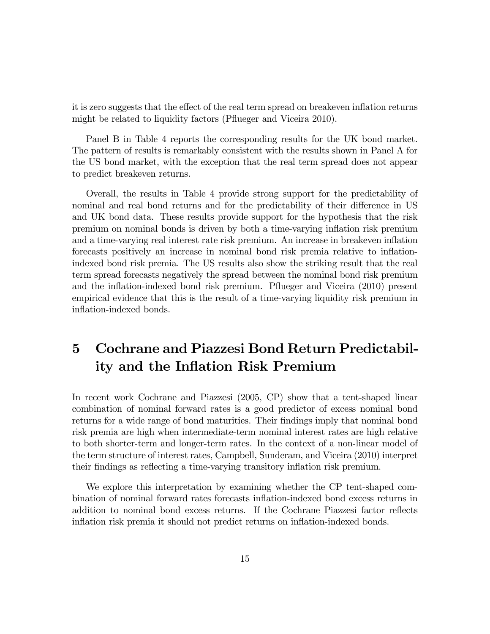it is zero suggests that the effect of the real term spread on breakeven inflation returns might be related to liquidity factors (Pflueger and Viceira 2010).

Panel B in Table 4 reports the corresponding results for the UK bond market. The pattern of results is remarkably consistent with the results shown in Panel A for the US bond market, with the exception that the real term spread does not appear to predict breakeven returns.

Overall, the results in Table 4 provide strong support for the predictability of nominal and real bond returns and for the predictability of their difference in US and UK bond data. These results provide support for the hypothesis that the risk premium on nominal bonds is driven by both a time-varying inflation risk premium and a time-varying real interest rate risk premium. An increase in breakeven inflation forecasts positively an increase in nominal bond risk premia relative to inflationindexed bond risk premia. The US results also show the striking result that the real term spread forecasts negatively the spread between the nominal bond risk premium and the inflation-indexed bond risk premium. Pflueger and Viceira (2010) present empirical evidence that this is the result of a time-varying liquidity risk premium in inflation-indexed bonds.

# 5 Cochrane and Piazzesi Bond Return Predictability and the Inflation Risk Premium

In recent work Cochrane and Piazzesi (2005, CP) show that a tent-shaped linear combination of nominal forward rates is a good predictor of excess nominal bond returns for a wide range of bond maturities. Their findings imply that nominal bond risk premia are high when intermediate-term nominal interest rates are high relative to both shorter-term and longer-term rates. In the context of a non-linear model of the term structure of interest rates, Campbell, Sunderam, and Viceira (2010) interpret their findings as reflecting a time-varying transitory inflation risk premium.

We explore this interpretation by examining whether the CP tent-shaped combination of nominal forward rates forecasts inflation-indexed bond excess returns in addition to nominal bond excess returns. If the Cochrane Piazzesi factor reflects inflation risk premia it should not predict returns on inflation-indexed bonds.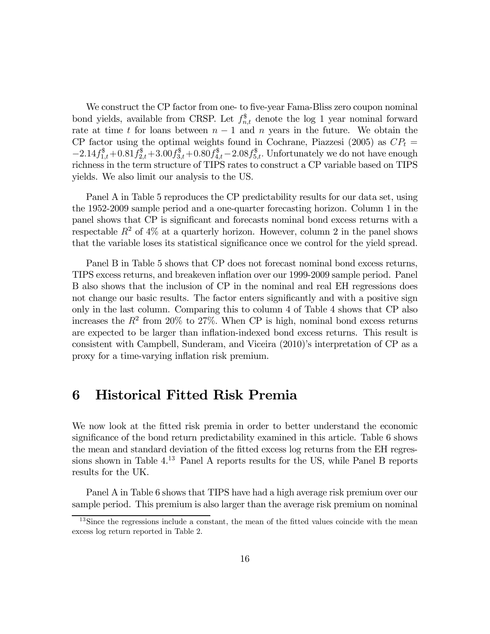We construct the CP factor from one- to five-year Fama-Bliss zero coupon nominal bond yields, available from CRSP. Let  $f_{n,t}^{\$}$  denote the log 1 year nominal forward rate at time  $t$  for loans between  $n-1$  and  $n$  years in the future. We obtain the CP factor using the optimal weights found in Cochrane, Piazzesi (2005) as  $CP<sub>t</sub> =$  $-2.14 f_{1,t}^{\$} + 0.81 f_{2,t}^{\$} + 3.00 f_{3,t}^{\$} + 0.80 f_{4,t}^{\$} - 2.08 f_{5,t}^{\$}$ . Unfortunately we do not have enough richness in the term structure of TIPS rates to construct a CP variable based on TIPS yields. We also limit our analysis to the US.

Panel A in Table 5 reproduces the CP predictability results for our data set, using the 1952-2009 sample period and a one-quarter forecasting horizon. Column 1 in the panel shows that CP is significant and forecasts nominal bond excess returns with a respectable  $R^2$  of  $4\%$  at a quarterly horizon. However, column 2 in the panel shows that the variable loses its statistical significance once we control for the yield spread.

Panel B in Table 5 shows that CP does not forecast nominal bond excess returns, TIPS excess returns, and breakeven inflation over our 1999-2009 sample period. Panel B also shows that the inclusion of CP in the nominal and real EH regressions does not change our basic results. The factor enters significantly and with a positive sign only in the last column. Comparing this to column 4 of Table 4 shows that CP also increases the  $R^2$  from 20% to 27%. When CP is high, nominal bond excess returns are expected to be larger than inflation-indexed bond excess returns. This result is consistent with Campbell, Sunderam, and Viceira (2010)'s interpretation of CP as a proxy for a time-varying inflation risk premium.

## 6 Historical Fitted Risk Premia

We now look at the fitted risk premia in order to better understand the economic significance of the bond return predictability examined in this article. Table 6 shows the mean and standard deviation of the fitted excess log returns from the EH regressions shown in Table 4.13 Panel A reports results for the US, while Panel B reports results for the UK.

Panel A in Table 6 shows that TIPS have had a high average risk premium over our sample period. This premium is also larger than the average risk premium on nominal

<sup>&</sup>lt;sup>13</sup>Since the regressions include a constant, the mean of the fitted values coincide with the mean excess log return reported in Table 2.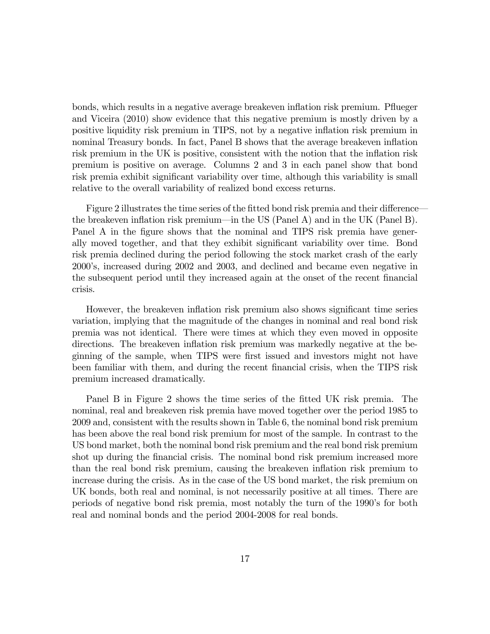bonds, which results in a negative average breakeven inflation risk premium. Pflueger and Viceira (2010) show evidence that this negative premium is mostly driven by a positive liquidity risk premium in TIPS, not by a negative inflation risk premium in nominal Treasury bonds. In fact, Panel B shows that the average breakeven inflation risk premium in the UK is positive, consistent with the notion that the inflation risk premium is positive on average. Columns 2 and 3 in each panel show that bond risk premia exhibit significant variability over time, although this variability is small relative to the overall variability of realized bond excess returns.

Figure 2 illustrates the time series of the fitted bond risk premia and their difference– the breakeven inflation risk premium–in the US (Panel A) and in the UK (Panel B). Panel A in the figure shows that the nominal and TIPS risk premia have generally moved together, and that they exhibit significant variability over time. Bond risk premia declined during the period following the stock market crash of the early 2000's, increased during 2002 and 2003, and declined and became even negative in the subsequent period until they increased again at the onset of the recent financial crisis.

However, the breakeven inflation risk premium also shows significant time series variation, implying that the magnitude of the changes in nominal and real bond risk premia was not identical. There were times at which they even moved in opposite directions. The breakeven inflation risk premium was markedly negative at the beginning of the sample, when TIPS were first issued and investors might not have been familiar with them, and during the recent financial crisis, when the TIPS risk premium increased dramatically.

Panel B in Figure 2 shows the time series of the fitted UK risk premia. The nominal, real and breakeven risk premia have moved together over the period 1985 to 2009 and, consistent with the results shown in Table 6, the nominal bond risk premium has been above the real bond risk premium for most of the sample. In contrast to the US bond market, both the nominal bond risk premium and the real bond risk premium shot up during the financial crisis. The nominal bond risk premium increased more than the real bond risk premium, causing the breakeven inflation risk premium to increase during the crisis. As in the case of the US bond market, the risk premium on UK bonds, both real and nominal, is not necessarily positive at all times. There are periods of negative bond risk premia, most notably the turn of the 1990's for both real and nominal bonds and the period 2004-2008 for real bonds.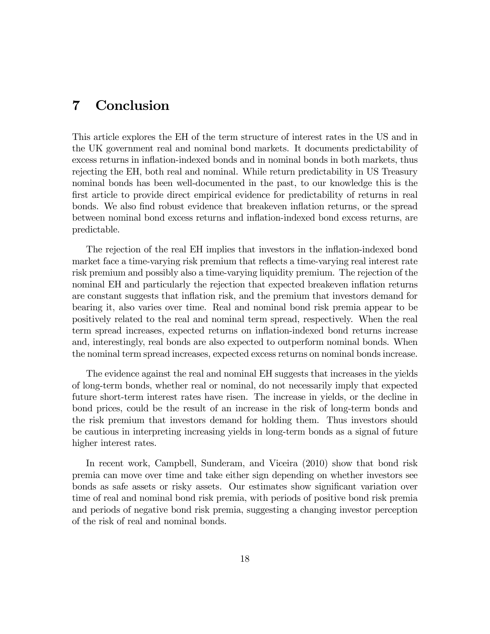## 7 Conclusion

This article explores the EH of the term structure of interest rates in the US and in the UK government real and nominal bond markets. It documents predictability of excess returns in inflation-indexed bonds and in nominal bonds in both markets, thus rejecting the EH, both real and nominal. While return predictability in US Treasury nominal bonds has been well-documented in the past, to our knowledge this is the first article to provide direct empirical evidence for predictability of returns in real bonds. We also find robust evidence that breakeven inflation returns, or the spread between nominal bond excess returns and inflation-indexed bond excess returns, are predictable.

The rejection of the real EH implies that investors in the inflation-indexed bond market face a time-varying risk premium that reflects a time-varying real interest rate risk premium and possibly also a time-varying liquidity premium. The rejection of the nominal EH and particularly the rejection that expected breakeven inflation returns are constant suggests that inflation risk, and the premium that investors demand for bearing it, also varies over time. Real and nominal bond risk premia appear to be positively related to the real and nominal term spread, respectively. When the real term spread increases, expected returns on inflation-indexed bond returns increase and, interestingly, real bonds are also expected to outperform nominal bonds. When the nominal term spread increases, expected excess returns on nominal bonds increase.

The evidence against the real and nominal EH suggests that increases in the yields of long-term bonds, whether real or nominal, do not necessarily imply that expected future short-term interest rates have risen. The increase in yields, or the decline in bond prices, could be the result of an increase in the risk of long-term bonds and the risk premium that investors demand for holding them. Thus investors should be cautious in interpreting increasing yields in long-term bonds as a signal of future higher interest rates.

In recent work, Campbell, Sunderam, and Viceira (2010) show that bond risk premia can move over time and take either sign depending on whether investors see bonds as safe assets or risky assets. Our estimates show significant variation over time of real and nominal bond risk premia, with periods of positive bond risk premia and periods of negative bond risk premia, suggesting a changing investor perception of the risk of real and nominal bonds.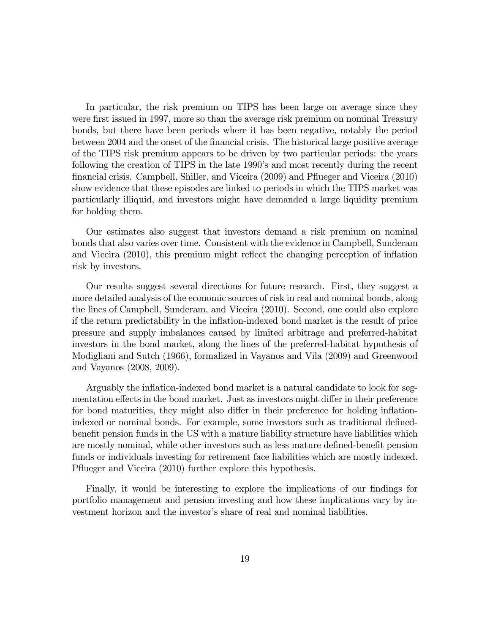In particular, the risk premium on TIPS has been large on average since they were first issued in 1997, more so than the average risk premium on nominal Treasury bonds, but there have been periods where it has been negative, notably the period between 2004 and the onset of the financial crisis. The historical large positive average of the TIPS risk premium appears to be driven by two particular periods: the years following the creation of TIPS in the late 1990's and most recently during the recent financial crisis. Campbell, Shiller, and Viceira (2009) and Pflueger and Viceira (2010) show evidence that these episodes are linked to periods in which the TIPS market was particularly illiquid, and investors might have demanded a large liquidity premium for holding them.

Our estimates also suggest that investors demand a risk premium on nominal bonds that also varies over time. Consistent with the evidence in Campbell, Sunderam and Viceira (2010), this premium might reflect the changing perception of inflation risk by investors.

Our results suggest several directions for future research. First, they suggest a more detailed analysis of the economic sources of risk in real and nominal bonds, along the lines of Campbell, Sunderam, and Viceira (2010). Second, one could also explore if the return predictability in the inflation-indexed bond market is the result of price pressure and supply imbalances caused by limited arbitrage and preferred-habitat investors in the bond market, along the lines of the preferred-habitat hypothesis of Modigliani and Sutch (1966), formalized in Vayanos and Vila (2009) and Greenwood and Vayanos (2008, 2009).

Arguably the inflation-indexed bond market is a natural candidate to look for segmentation effects in the bond market. Just as investors might differ in their preference for bond maturities, they might also differ in their preference for holding inflationindexed or nominal bonds. For example, some investors such as traditional definedbenefit pension funds in the US with a mature liability structure have liabilities which are mostly nominal, while other investors such as less mature defined-benefit pension funds or individuals investing for retirement face liabilities which are mostly indexed. Pflueger and Viceira (2010) further explore this hypothesis.

Finally, it would be interesting to explore the implications of our findings for portfolio management and pension investing and how these implications vary by investment horizon and the investor's share of real and nominal liabilities.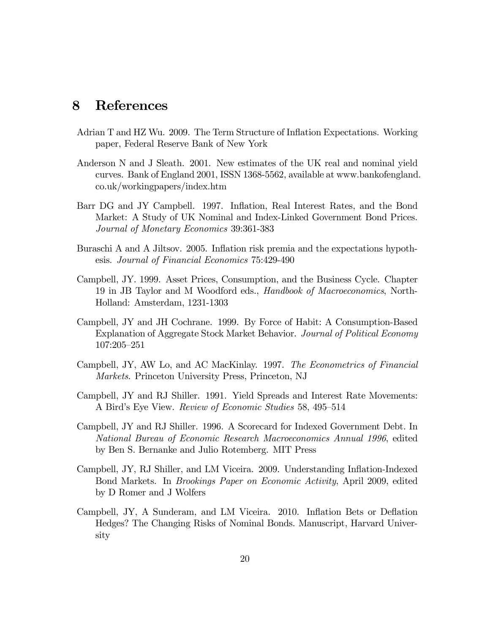## 8 References

- Adrian T and HZ Wu. 2009. The Term Structure of Inflation Expectations. Working paper, Federal Reserve Bank of New York
- Anderson N and J Sleath. 2001. New estimates of the UK real and nominal yield curves. Bank of England 2001, ISSN 1368-5562, available at www.bankofengland. co.uk/workingpapers/index.htm
- Barr DG and JY Campbell. 1997. Inflation, Real Interest Rates, and the Bond Market: A Study of UK Nominal and Index-Linked Government Bond Prices. Journal of Monetary Economics 39:361-383
- Buraschi A and A Jiltsov. 2005. Inflation risk premia and the expectations hypothesis. Journal of Financial Economics 75:429-490
- Campbell, JY. 1999. Asset Prices, Consumption, and the Business Cycle. Chapter 19 in JB Taylor and M Woodford eds., Handbook of Macroeconomics, North-Holland: Amsterdam, 1231-1303
- Campbell, JY and JH Cochrane. 1999. By Force of Habit: A Consumption-Based Explanation of Aggregate Stock Market Behavior. Journal of Political Economy 107:205—251
- Campbell, JY, AW Lo, and AC MacKinlay. 1997. The Econometrics of Financial Markets. Princeton University Press, Princeton, NJ
- Campbell, JY and RJ Shiller. 1991. Yield Spreads and Interest Rate Movements: A Bird's Eye View. Review of Economic Studies 58, 495—514
- Campbell, JY and RJ Shiller. 1996. A Scorecard for Indexed Government Debt. In National Bureau of Economic Research Macroeconomics Annual 1996, edited by Ben S. Bernanke and Julio Rotemberg. MIT Press
- Campbell, JY, RJ Shiller, and LM Viceira. 2009. Understanding Inflation-Indexed Bond Markets. In Brookings Paper on Economic Activity, April 2009, edited by D Romer and J Wolfers
- Campbell, JY, A Sunderam, and LM Viceira. 2010. Inflation Bets or Deflation Hedges? The Changing Risks of Nominal Bonds. Manuscript, Harvard University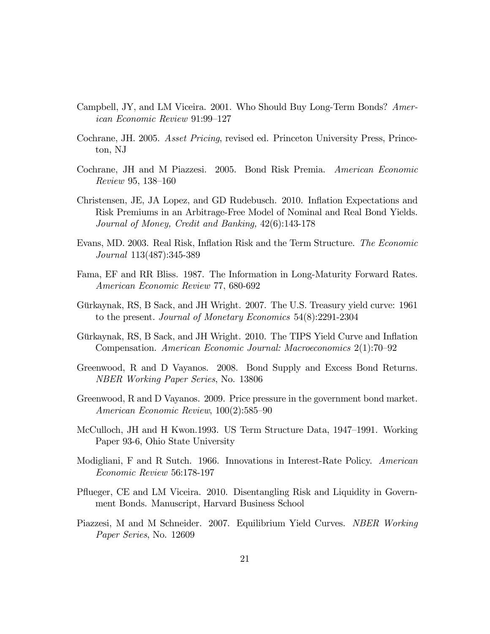- Campbell, JY, and LM Viceira. 2001. Who Should Buy Long-Term Bonds? American Economic Review 91:99—127
- Cochrane, JH. 2005. Asset Pricing, revised ed. Princeton University Press, Princeton, NJ
- Cochrane, JH and M Piazzesi. 2005. Bond Risk Premia. American Economic Review 95, 138—160
- Christensen, JE, JA Lopez, and GD Rudebusch. 2010. Inflation Expectations and Risk Premiums in an Arbitrage-Free Model of Nominal and Real Bond Yields. Journal of Money, Credit and Banking, 42(6):143-178
- Evans, MD. 2003. Real Risk, Inflation Risk and the Term Structure. The Economic Journal 113(487):345-389
- Fama, EF and RR Bliss. 1987. The Information in Long-Maturity Forward Rates. American Economic Review 77, 680-692
- Gürkaynak, RS, B Sack, and JH Wright. 2007. The U.S. Treasury yield curve: 1961 to the present. Journal of Monetary Economics 54(8):2291-2304
- Gürkaynak, RS, B Sack, and JH Wright. 2010. The TIPS Yield Curve and Inflation Compensation. American Economic Journal: Macroeconomics 2(1):70—92
- Greenwood, R and D Vayanos. 2008. Bond Supply and Excess Bond Returns. NBER Working Paper Series, No. 13806
- Greenwood, R and D Vayanos. 2009. Price pressure in the government bond market. American Economic Review, 100(2):585—90
- McCulloch, JH and H Kwon.1993. US Term Structure Data, 1947—1991. Working Paper 93-6, Ohio State University
- Modigliani, F and R Sutch. 1966. Innovations in Interest-Rate Policy. American Economic Review 56:178-197
- Pflueger, CE and LM Viceira. 2010. Disentangling Risk and Liquidity in Government Bonds. Manuscript, Harvard Business School
- Piazzesi, M and M Schneider. 2007. Equilibrium Yield Curves. NBER Working Paper Series, No. 12609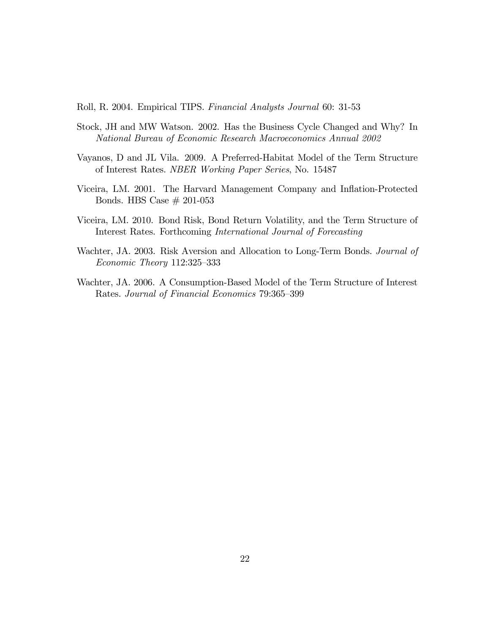Roll, R. 2004. Empirical TIPS. Financial Analysts Journal 60: 31-53

- Stock, JH and MW Watson. 2002. Has the Business Cycle Changed and Why? In National Bureau of Economic Research Macroeconomics Annual 2002
- Vayanos, D and JL Vila. 2009. A Preferred-Habitat Model of the Term Structure of Interest Rates. NBER Working Paper Series, No. 15487
- Viceira, LM. 2001. The Harvard Management Company and Inflation-Protected Bonds. HBS Case  $\#$  201-053
- Viceira, LM. 2010. Bond Risk, Bond Return Volatility, and the Term Structure of Interest Rates. Forthcoming International Journal of Forecasting
- Wachter, J.A. 2003. Risk Aversion and Allocation to Long-Term Bonds. *Journal of* Economic Theory 112:325—333
- Wachter, JA. 2006. A Consumption-Based Model of the Term Structure of Interest Rates. Journal of Financial Economics 79:365—399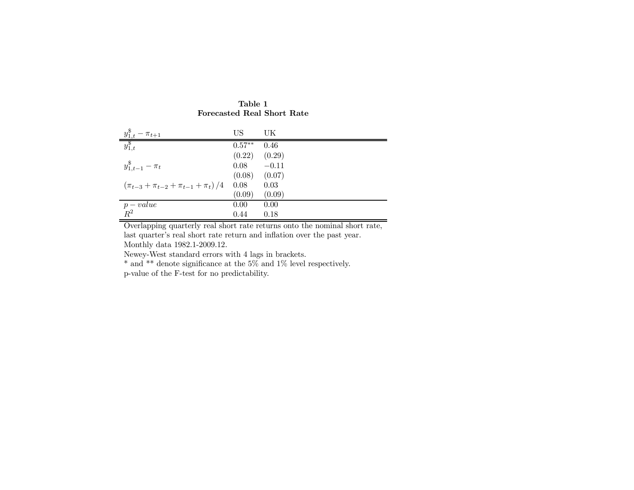| $\frac{y_{1,t}^{\$}}{y_{1,t}^{\$}}$<br>$-\pi_{t+1}$ | US                | UK      |
|-----------------------------------------------------|-------------------|---------|
|                                                     | $0.57***$         | 0.46    |
|                                                     | (0.22)            | (0.29)  |
| $y_{1,t-1}^{\$} - \pi_t$                            | 0.08              | $-0.11$ |
|                                                     | $(0.08)$ $(0.07)$ |         |
| $(\pi_{t-3} + \pi_{t-2} + \pi_{t-1} + \pi_t)/4$     | 0.08              | 0.03    |
|                                                     | (0.09)            | (0.09)  |
| $p-value$                                           | 0.00              | 0.00    |
| $R^2$                                               | 0.44              | 0.18    |

#### Table 1Forecasted Real Short Rate

Overlapping quarterly real short rate returns onto the nominal short rate, last quarter's real short rate return and inflation over the past year. Monthly data 1982.1-2009.12.

Newey-West standard errors with 4 lags in brackets.

\* and \*\* denote significance at the 5% and 1% level respectively.

p-value of the F-test for no predictability.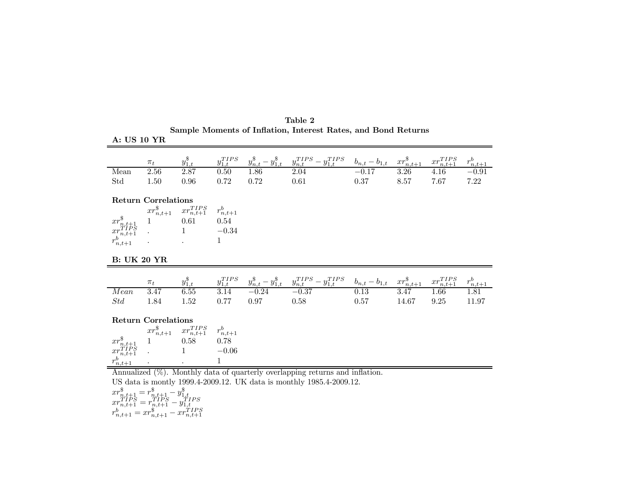| A: US 10 YR                                                                                                                                                                  |                            |                                                                                                                                                                                           |                  |      |                                                                                                                                                                                                                           |      |       |                             |                                        |
|------------------------------------------------------------------------------------------------------------------------------------------------------------------------------|----------------------------|-------------------------------------------------------------------------------------------------------------------------------------------------------------------------------------------|------------------|------|---------------------------------------------------------------------------------------------------------------------------------------------------------------------------------------------------------------------------|------|-------|-----------------------------|----------------------------------------|
|                                                                                                                                                                              | $\pi_t$                    | $y_{1,t}^{\$}$                                                                                                                                                                            | $y_{1,t}^{TIPS}$ |      | $\begin{array}{ccc} y_{n,t}^{\$} - y_{1,t}^{\$} & y_{n,t}^{TIPS} - y_{1,t}^{TIPS} & b_{n,t} - b_{1,t} & x r_{n,t+1}^{\$} \\ 1.86 & 2.04 & -0.17 & 3.26 \end{array}$                                                       |      |       | $xr_{n,t+1}^{TIPS}$         |                                        |
| Mean                                                                                                                                                                         | 2.56                       | 2.87                                                                                                                                                                                      | 0.50             |      |                                                                                                                                                                                                                           |      |       | 4.16                        | $\frac{r_{n,t+1}^b}{-0.91}$            |
| Std                                                                                                                                                                          | 1.50                       | 0.96                                                                                                                                                                                      | 0.72             | 0.72 | 0.61                                                                                                                                                                                                                      | 0.37 | 8.57  | 7.67                        | 7.22                                   |
|                                                                                                                                                                              |                            |                                                                                                                                                                                           |                  |      |                                                                                                                                                                                                                           |      |       |                             |                                        |
|                                                                                                                                                                              | <b>Return Correlations</b> |                                                                                                                                                                                           |                  |      |                                                                                                                                                                                                                           |      |       |                             |                                        |
|                                                                                                                                                                              |                            |                                                                                                                                                                                           |                  |      |                                                                                                                                                                                                                           |      |       |                             |                                        |
|                                                                                                                                                                              |                            |                                                                                                                                                                                           |                  |      |                                                                                                                                                                                                                           |      |       |                             |                                        |
|                                                                                                                                                                              |                            | $\begin{array}{ccccc} & & x r_{n,t+1}^{\$} & x r_{n,t+1}^{TIPS} & r_{n,t+1}^b \\ x r_{n,t+1}^{\$} & 1 & 0.61 & 0.54 \\ x r_{n,t+1}^{TIPS} & 1 & -0.34 \\ r_{n,t+1}^b & 1 & 1 \end{array}$ |                  |      |                                                                                                                                                                                                                           |      |       |                             |                                        |
|                                                                                                                                                                              |                            |                                                                                                                                                                                           |                  |      |                                                                                                                                                                                                                           |      |       |                             |                                        |
|                                                                                                                                                                              |                            |                                                                                                                                                                                           |                  |      |                                                                                                                                                                                                                           |      |       |                             |                                        |
| <b>B: UK 20 YR</b>                                                                                                                                                           |                            |                                                                                                                                                                                           |                  |      |                                                                                                                                                                                                                           |      |       |                             |                                        |
|                                                                                                                                                                              |                            |                                                                                                                                                                                           |                  |      |                                                                                                                                                                                                                           |      |       |                             |                                        |
|                                                                                                                                                                              |                            |                                                                                                                                                                                           |                  |      |                                                                                                                                                                                                                           |      |       |                             |                                        |
|                                                                                                                                                                              | $\pi_t$                    |                                                                                                                                                                                           |                  |      |                                                                                                                                                                                                                           |      |       |                             |                                        |
| Mean                                                                                                                                                                         | 3.47                       | $y_{1,t}^{\$}$<br>6.55                                                                                                                                                                    |                  |      | $\substack{y_{1,t}^{TIPS} \quad y_{n,t}^{\$} - y_{1,t}^{\$} \quad y_{n,t}^{TIPS} - y_{1,t}^{TIPS} \quad b_{n,t} - b_{1,t} \quad xr_{n,t+1}^{\$} \\ 3.14 \qquad -0.24 \qquad -0.37 \qquad \qquad 0.13 \qquad \qquad 3.47}$ |      |       | $xr_{n,t+1}^{TIPS}$<br>1.66 | $r_{\frac{n,t+1}{\gamma_1}}^b$<br>1.81 |
| Std                                                                                                                                                                          | 1.84                       | 1.52                                                                                                                                                                                      | 0.77             | 0.97 | 0.58                                                                                                                                                                                                                      | 0.57 | 14.67 | 9.25                        | 11.97                                  |
|                                                                                                                                                                              |                            |                                                                                                                                                                                           |                  |      |                                                                                                                                                                                                                           |      |       |                             |                                        |
|                                                                                                                                                                              | <b>Return Correlations</b> |                                                                                                                                                                                           |                  |      |                                                                                                                                                                                                                           |      |       |                             |                                        |
|                                                                                                                                                                              |                            |                                                                                                                                                                                           |                  |      |                                                                                                                                                                                                                           |      |       |                             |                                        |
|                                                                                                                                                                              |                            |                                                                                                                                                                                           |                  |      |                                                                                                                                                                                                                           |      |       |                             |                                        |
|                                                                                                                                                                              |                            |                                                                                                                                                                                           | $-0.06$          |      |                                                                                                                                                                                                                           |      |       |                             |                                        |
|                                                                                                                                                                              |                            | $\begin{array}{ccccc} xr_{n,t+1}^{\$} & xr_{n,t+1}^{TIPS} & r_{n,t+1}^{b}\\ 1 & 0.58 & 0.78\\ . & 1 & -0.06 \end{array}$                                                                  | $\mathbf{1}$     |      |                                                                                                                                                                                                                           |      |       |                             |                                        |
| $\begin{array}{l} \mathop{xr\mathstrut}_{n,t+1}^{\$}\n\hline\n\quadop{xr\mathstrut}_{n,t+1}^{\mathop{TIPS}}\n\\ \hline\n\mathop{r\mathstrut}_{n,t+1}^b\n\hline\n\end{array}$ |                            |                                                                                                                                                                                           |                  |      | Annualized $(\%)$ . Monthly data of quarterly overlapping returns and inflation.                                                                                                                                          |      |       |                             |                                        |

Table 2 Sample Moments of Inflation, Interest Rates, and Bond Returns

 $xr_{n,t+1}^{\$}=r_{n,t+1}^{\$}-y_{1,t}^{\$}$  $xr_{n,t+1}^{TIPS}=r_{n,t+1}^{TIPS}-y_{1,t}^{TIPS}$  $r_{n,t+1}^b = xr_{n,t+1}^\$ - xr_{n,t+1}^{TIPS}$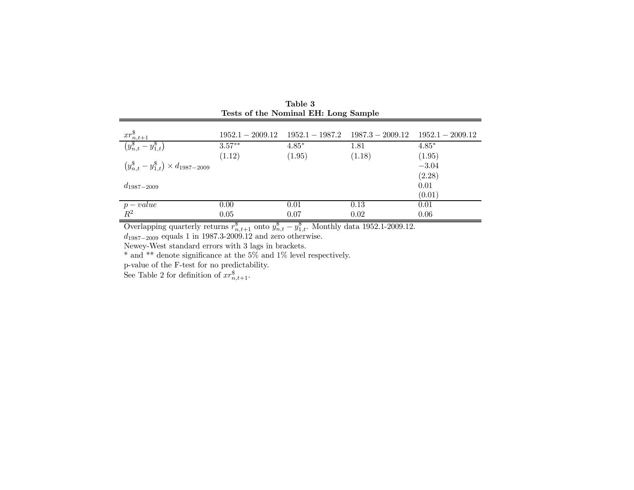| rests of the Nominal EH: Long Sample                  |                    |                   |                    |                    |  |
|-------------------------------------------------------|--------------------|-------------------|--------------------|--------------------|--|
|                                                       | $1952.1 - 2009.12$ | $1952.1 - 1987.2$ | $1987.3 - 2009.12$ | $1952.1 - 2009.12$ |  |
| $\frac{xr_{n,t+1}^{\$}}{(y_{n,t}^{\$}-y_{1,t}^{\$})}$ | $3.57**$           | $4.85*$           | 1.81               | $4.85*$            |  |
|                                                       | (1.12)             | (1.95)            | (1.18)             | (1.95)             |  |
| $(y_{n,t}^{\$} - y_{1,t}^{\$}) \times d_{1987-2009}$  |                    |                   |                    | $-3.04$            |  |
| $d_{1987-2009}$                                       |                    |                   |                    | (2.28)<br>0.01     |  |
|                                                       |                    |                   |                    | (0.01)             |  |
|                                                       | 0.00               | 0.01              | 0.13               | 0.01               |  |
| $p-value$<br>$R^2$                                    | 0.05               | 0.07              | 0.02               | 0.06               |  |

Table 3<br>Tests of the Nominal EH: Long Sample

Overlapping quarterly returns  $r_{n,t+1}^{\$}$  onto  $y_{n,t}^{\$} - y_{1,t}^{\$}$ . Monthly data 1952.1-2009.12.

 $d_{1987-2009}$  equals 1 in 1987.3-2009.12 and zero otherwise.

Newey-West standard errors with 3 lags in brackets.

\* and \*\* denote significance at the 5% and 1% level respectively.

p-value of the F-test for no predictability.

See Table 2 for definition of  $xr^{\$}_{n,t+1}$ .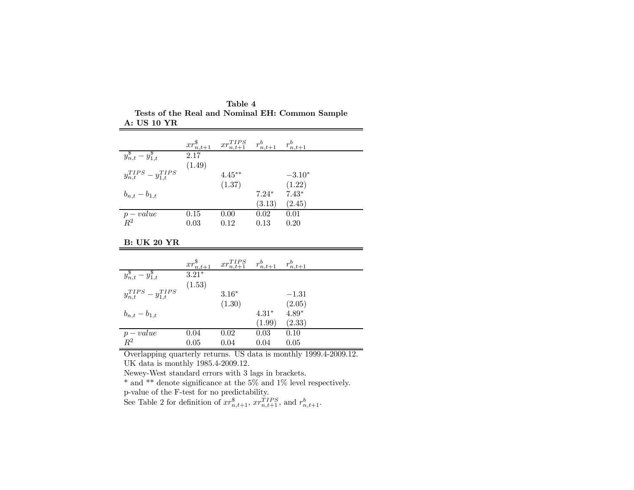| Table 4                                         |  |
|-------------------------------------------------|--|
| Tests of the Real and Nominal EH: Common Sample |  |
| <b>A: US 10 YR</b>                              |  |

|                                   |        | $xr_{n,t+1}^{\$}$ $xr_{n,t+1}^{TIPS}$ $r_{n,t+1}^b$ |         | $r_{n,t+1}^b$ |
|-----------------------------------|--------|-----------------------------------------------------|---------|---------------|
| $y_{n,t}^{\$} - y_{1,t}^{\$}$     | 2.17   |                                                     |         |               |
|                                   | (1.49) |                                                     |         |               |
| $y_{n,t}^{TIPS} - y_{1,t}^{TIPS}$ |        | $4.45***$                                           |         | $-3.10*$      |
|                                   |        | (1.37)                                              |         | (1.22)        |
| $b_{n,t} - b_{1,t}$               |        |                                                     | $7.24*$ | $7.43*$       |
|                                   |        |                                                     | (3.13)  | (2.45)        |
| $p-value$                         | 0.15   | 0.00                                                | 0.02    | 0.01          |
| $R^2$                             | 0.03   | 0.12                                                | 0.13    | 0.20          |

B: UK 20 YR

|                                   |         | $xr_{n,t+1}^{\$}$ $xr_{n,t+1}^{TIPS}$ $r_{n,t+1}^b$ $r_{n,t+1}^b$ |         |         |
|-----------------------------------|---------|-------------------------------------------------------------------|---------|---------|
| $y_{n,t}^{\$} - y_{1,t}^{\$}$     | $3.21*$ |                                                                   |         |         |
|                                   | (1.53)  |                                                                   |         |         |
| $y_{n,t}^{TIPS} - y_{1,t}^{TIPS}$ |         | $3.16*$                                                           |         | $-1.31$ |
|                                   |         | (1.30)                                                            |         | (2.05)  |
| $b_{n,t} - b_{1,t}$               |         |                                                                   | $4.31*$ | $4.89*$ |
|                                   |         |                                                                   | (1.99)  | (2.33)  |
| $\frac{p-value}{R^2}$             | 0.04    | 0.02                                                              | 0.03    | 0.10    |
|                                   | 0.05    | 0.04                                                              | 0.04    | 0.05    |

Overlapping quarterly returns. US data is monthly 1999.4-2009.12. UK data is monthly 1985.4-2009.12.

Newey-West standard errors with 3 lags in brackets.

\* and \*\* denote significance at the 5% and 1% level respectively.

p-value of the F-test for no predictability.

See Table 2 for definition of  $xr_{n,t+1}^{\$}$ ,  $xr_{n,t+1}^{TIPS}$ , and  $r_{n,t+1}^b$ .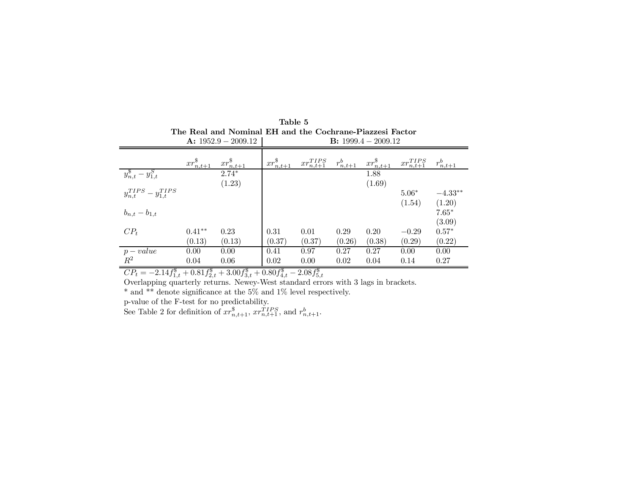|                                   | The Real and Nominal EH and the Cochrane-Piazzesi Factor<br>A: $1952.9 - 2009.12$<br><b>B</b> : $1999.4 - 2009.12$ |                                  |                   |                     |               |                   |                     |               |
|-----------------------------------|--------------------------------------------------------------------------------------------------------------------|----------------------------------|-------------------|---------------------|---------------|-------------------|---------------------|---------------|
|                                   |                                                                                                                    |                                  |                   |                     |               |                   |                     |               |
|                                   | $xr_{n,t+1}^{\$}$                                                                                                  | $\frac{xr_{n,t+1}^{\$}}{2.74^*}$ | $xr_{n,t+1}^{\$}$ | $xr_{n,t+1}^{TIPS}$ | $r_{n,t+1}^b$ | $xr_{n,t+1}^{\$}$ | $xr_{n,t+1}^{TIPS}$ | $r_{n,t+1}^b$ |
| $y_{n,t}^{\$} - y_{1,t}^S$        |                                                                                                                    |                                  |                   |                     |               | 1.88              |                     |               |
|                                   |                                                                                                                    | (1.23)                           |                   |                     |               | (1.69)            |                     |               |
| $y_{n,t}^{TIPS} - y_{1,t}^{TIPS}$ |                                                                                                                    |                                  |                   |                     |               |                   | $5.06*$             | $-4.33**$     |
|                                   |                                                                                                                    |                                  |                   |                     |               |                   | (1.54)              | (1.20)        |
| $b_{n,t} - b_{1,t}$               |                                                                                                                    |                                  |                   |                     |               |                   |                     | $7.65*$       |
|                                   |                                                                                                                    |                                  |                   |                     |               |                   |                     | (3.09)        |
| $CP_t$                            | $0.41**$                                                                                                           | 0.23                             | 0.31              | 0.01                | 0.29          | 0.20              | $-0.29$             | $0.57*$       |
|                                   | (0.13)                                                                                                             | (0.13)                           | (0.37)            | (0.37)              | (0.26)        | (0.38)            | (0.29)              | (0.22)        |
| $p-value$                         | 0.00                                                                                                               | 0.00                             | 0.41              | 0.97                | 0.27          | 0.27              | 0.00                | 0.00          |
| $R^2$                             | 0.04                                                                                                               | 0.06                             | 0.02              | 0.00                | 0.02          | 0.04              | 0.14                | 0.27          |

|                       | Table 5                                                  |
|-----------------------|----------------------------------------------------------|
|                       | The Real and Nominal EH and the Cochrane-Piazzesi Factor |
| A: $1952.9 - 2009.12$ | <b>B</b> : $1999.4 - 2009.12$                            |
|                       |                                                          |

 $CP_t = -2.14 f_{1,t}^{\$} + 0.81 f_{2,t}^{\$} + 3.00 f_{3,t}^{\$} + 0.80 f_{4,t}^{\$} - 2.08 f_{5,t}^{\$}$ 

Overlapping quarterly returns. Newey-West standard errors with 3 lags in brackets.

\* and \*\* denote significance at the 5% and 1% level respectively.

p-value of the F-test for no predictability.

See Table 2 for definition of  $xr_{n,t+1}^{\$}$ ,  $xr_{n,t+1}^{TIPS}$ , and  $r_{n,t+1}^b$ .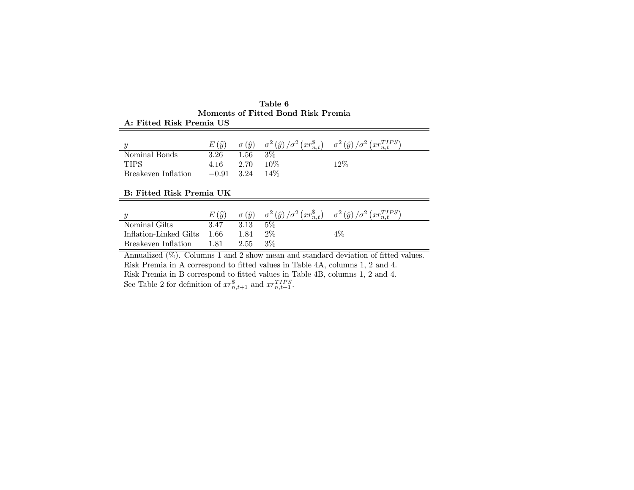|                     | $E(\widehat{u})$ |      |        | $\sigma(\hat{y}) = \sigma^2(\hat{y})/\sigma^2(xr_{n,t}^*) = \sigma^2(\hat{y})/\sigma^2(xr_{n,t}^{TIPS})$ |
|---------------------|------------------|------|--------|----------------------------------------------------------------------------------------------------------|
| Nominal Bonds       | 3.26             | 1.56 | $3\%$  |                                                                                                          |
| <b>TIPS</b>         | 4.16             | 2.70 | $10\%$ | 12%                                                                                                      |
| Breakeven Inflation | $-0.91$ 3.24     |      | $14\%$ |                                                                                                          |

Table 6 Moments of Fitted Bond Risk Premia A: Fitted Risk Premia US

#### B: Fitted Risk Premia UK

|                             | $E(\widehat{u})$ | $\sigma(\hat{u})$ |       | $\sigma^2(\hat{y})/\sigma^2(xr_{n,t}^*)$ $\sigma^2(\hat{y})/\sigma^2(xr_{n,t}^{TIPS})$ |
|-----------------------------|------------------|-------------------|-------|----------------------------------------------------------------------------------------|
| Nominal Gilts               | 3.47             | 3.13              | 5%    |                                                                                        |
| Inflation-Linked Gilts 1.66 |                  | 1.84              | $2\%$ | 4%                                                                                     |
| Breakeven Inflation         | 1.81             | 2.55              | $3\%$ |                                                                                        |

Annualized  $(\%)$ . Columns 1 and 2 show mean and standard deviation of fitted values. Risk Premia in A correspond to fitted values in Table 4A, columns 1, 2 and 4. Risk Premia in B correspond to fitted values in Table 4B, columns 1, 2 and 4. See Table 2 for definition of  $xr_{n,t+1}^{\$}$  and  $xr_{n,t+1}^{TIPS}$ .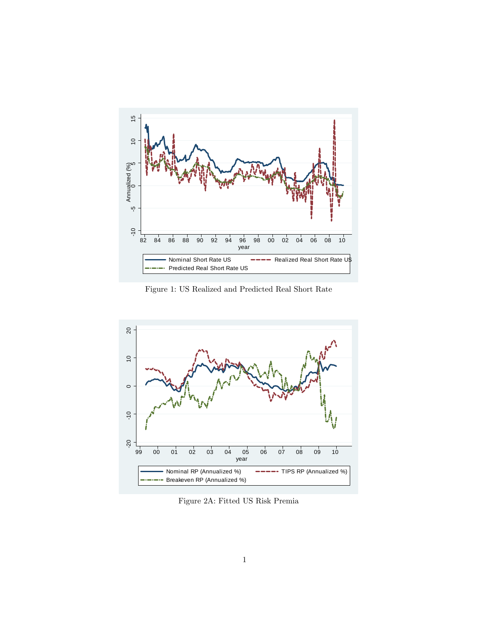

Figure 1: US Realized and Predicted Real Short Rate



Figure 2A: Fitted US Risk Premia